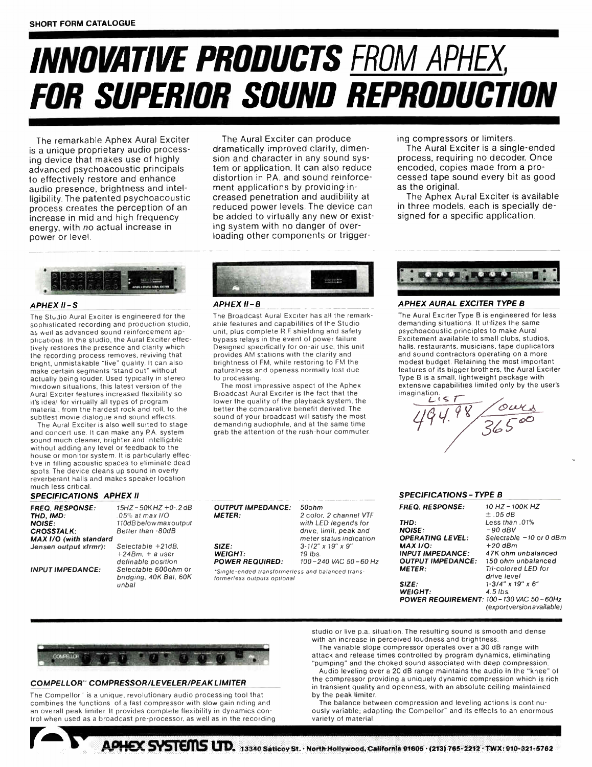# INNOVATIVE PRODUCTS FROM APHEX, FOR SUPERIOR SOUND REPRODUCTION

The Aural Exciter can produce dramatically improved clarity, dimension and character in any sound system or application. It can also reduce distortion in PA. and sound reinforcement applications by providing increased penetration and audibility at reduced power levels. The device can be added to virtually any new or existing system with no danger of overloading other components or trigger-

The remarkable Aphex Aural Exciter is a unique proprietary audio processing device that makes use of highly advanced psychoacoustic principals to effectively restore and enhance audio presence, brightness and intelligibility. The patented psychoacoustic process creates the perception of an increase in mid and high frequency energy, with no actual increase in power or level.



#### APHEX II -S

The Studio Aural Exciter is engineered for the sophisticated recording and production studio, as well as advanced sound reinforcement applications. In the studio, the Aural Exciter effectively restores the presence and clarity which the recording process removes, reviving that bright, unmistakable "live" quality. It can also make certain segments "stand out" without actually being louder. Used typically in stereo mixdown situations, this latest version of the Aural Exciter features increased flexibility so it's ideal for virtually all types of program material, from the hardest rock and roll, to the subtlest movie dialogue and sound effects.

The Aural Exciter is also well suited to stage and concert use. It can make any PA. system sound much cleaner, brighter and intelligible without adding any level or feedback to the house or monitor system. It is particularly effective in filling acoustic spaces to eliminate dead spots. The device cleans up sound in overly reverberant halls and makes speaker location much less critical.

#### SPECIFICATIONS APHEX II

FREQ. RESPONSE: 15HZ - 50K HZ +0-.2 dB THD, IMO: .05% at max I/O NOISE: 110dBbelowmaxoutput CROSSTALK: Better than -80dB Jensen output xfrmr):

MAX I/O (with standard<br>Jensen output xfrmr): Selectable +21dB, +24Bm, + a user

definable position INPUT IMPEDANCE: Selectable 600ohm or bridging, 40K Bal, 60K unbal



#### APHEX II -B

The Broadcast Aural Exciter has all the remarkable features and capabilities of the Studio unit, plus complete R.F. shielding and safety bypass relays in the event of power failure. Designed specifically for on-air use, this unit provides AM stations with the clarity and brightness of FM, while restoring to FM the naturalness and openess normally lost due to processing.

The most impressive aspect of the Aphex Broadcast Aural Exciter is the fact that the lower the quality of the playback system, the better the comparative benefit derived. The sound of your broadcast will satisfy the most demanding audiophile, and at the same time grab the attention of the rush-hour commuter.

#### OUTPUT IMPEDANCE: 50ohm METER: 2 color, 2 channel VTF with LED legends for

SIZE:  $3.1/2'' \times 19'' \times 9''$ <br>WEIGHT:  $3.1/2'' \times 19'' \times 9''$ **WEIGHT:**  $19 \text{ lbs.}$   $19 \text{ lbs.}$  **POWER REQUIRED:**  $100 - 240 \text{ VAC} 50 - 60 \text{ Hz.}$ POWER REQUIRED:

\*Single-ended transtormerless and balanced transformerless outputs optional

drive, limit, peak and meter status indication



#### APHEX AURAL EXCITER TYPE B

ing compressors or limiters.

as the original.

The Aural Exciter is a single-ended process, requiring no decoder. Once encoded, copies made from a processed tape sound every bit as good

The Aphex Aural Exciter is available in three models, each is specially designed for a specific application.

The Aural Exciter Type B is engineered for less demanding situations. It utilizes the same psychoacoustic principles to make Aural Excitement available to small clubs, studios, halls, restaurants, musicians, tape duplicators and sound contractors operating on a more modest budget. Retaining the most important features of its bigger brothers, the Aural Exciter Type B is a small, lightweight package with extensive capabilities limited only by the user's imagination.<br> $L(s)$ 

 $494.98 / 36500$ 

#### SPECIFICATIONS - TYPE B

| <b>FREQ. RESPONSE:</b>                 | 10 HZ - 100K HZ            |
|----------------------------------------|----------------------------|
|                                        | $+$ 0.5 dB                 |
| THD:                                   | Less than .01%             |
| <b>NOISE:</b>                          | -90 dBV                    |
| <b>OPERATING LEVEL:</b>                | Selectable -10 or 0 dBm    |
| <b>MAX 1/0:</b>                        | +20 dBm                    |
| <b>INPUT IMPEDANCE:</b>                | 47K ohm unbalanced         |
| <b>OUTPUT IMPEDANCE:</b>               | 150 ohm unbalanced         |
| <b>METER:</b>                          | Tri-colored LED for        |
|                                        | drive level                |
| <b>SIZE:</b>                           | 1-3/4" x 19" x 6"          |
| <b>WEIGHT:</b>                         | $4.5$ lbs.                 |
| POWER REQUIREMENT: 100-130 VAC 50-60Hz |                            |
|                                        | (export version available) |



#### COMPELLOR ' COMPRESSOR/LEVELER/PEAK LIMITER

The Compellor' is a unique, revolutionary audio processing tool that combines the functions of a fast compressor with slow gain riding and an overall peak limiter. It provides complete flexibility in dynamics control when used as a broadcast pre-processor, as well as in the recording studio or live p.a. situation. The resulting sound is smooth and dense with an increase in perceived loudness and brightness.

The variable slope compressor operates over a 30 dB range with attack and release times controlled by program dynamics, eliminating

"pumping" and the choked sound associated with deep compression. Audio leveling over a 20 dB range maintains the audio in the "knee" of the compressor providing a uniquely dynamic compression which is rich in transient quality and openness, with an absolute ceiling maintained by the peak limiter.

The balance between compression and leveling actions is continuously variable; adapting the Compellor" and its effects to an enormous variety of material.

APHEX SYSTEMS LTD. 13340 Saticoy St. · North Hollywood, California 91605 · (213) 765-2212 · TWX: 910-321-5762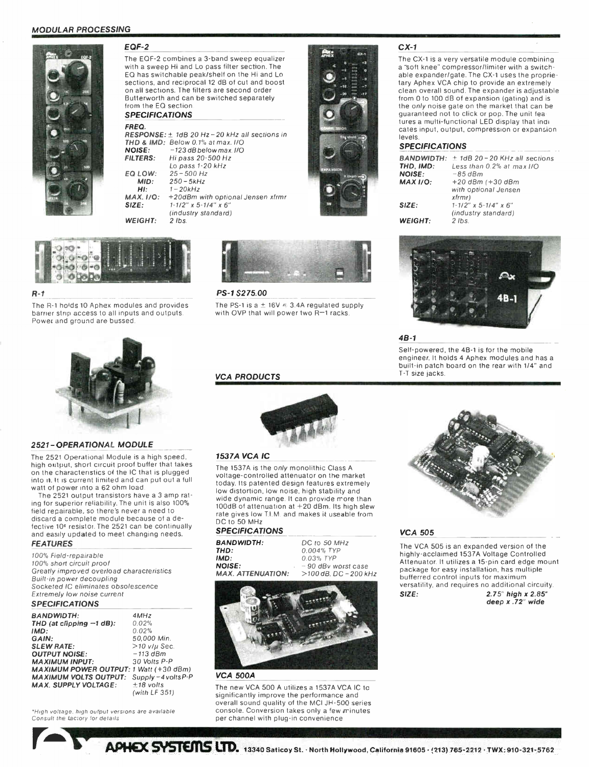#### MODULAR PROCESSING



EQF-2

The EQF-2 combines a 3-band sweep equalizer with a sweep Hi and Lo pass filter section. The EQ has switchable peak/shelf on the Hi and Lo sections, and reciprocal 12 dB of cut and boost on all sections. The filters are second order Butterworth and can be switched separately from the EQ section

#### SPECIFICATIONS

FREO. **RESPONSE:** 1 TOB 20 Hz-20 KHz all sections in THD & IMD: Below 0.1% at max. I/O NOISE: FILTERS: **EQ LOW:** MID: HI: MAX. I/O: SIZE: WEIGHT: -123 dB below max. I/O Hi pass 20-500 Hz Lo pass 1-20 kHz 25- 500 Hz  $250 - 5kHz$  $1 - 20kHz$ +20dBm with optional Jensen xfrmr  $1-1/2$ " x 5-1/4" x 6' (industry standard) 2 lbs.



#### R-1

The R-1 holds 10 Aphex modules and provides barrier strip access to all inputs and outputs. Power and ground are bussed.



#### PS-1 \$275.00

The PS-1 is a  $\pm$  16V  $\approx$  3.4A regulated supply with OVP that will power two R-1 racks.

#### VCA PRODUCTS



#### $CX-1$

The CX-1 is a very versatile module combining a "soft knee" compressor/limiter with a switchable expander/gate. The CX-1 uses the proprietary Aphex VCA chip to provide an extremely clean overall sound. The expander is adjustable from 0 to 100 dB of expansion (gating) and is the only noise gate on the market that can be guaranteed not to click or pop. The unit features a multi-functional LED display that indicates input, output, compression or expansion levels

#### **SPECIFICATIONS**

| $\pm$ 1dB 20 - 20 KHz all sections |
|------------------------------------|
| Less than 0.2% at max I/O          |
| $-85$ dBm                          |
| $+20$ dBm ( $+30$ dBm              |
| with optional Jensen               |
| xfrmr)                             |
| $1 - 1/2$ " x 5 - $1/4$ " x 6"     |
| (industry standard)                |
| $2$ Ibs.                           |
|                                    |



#### 48-1

Self-powered, the 4B-1 is for the mobile engineer. It holds 4 Aphex modules and has a built-in patch board on the rear with 1/4" and T-T size jacks.



#### 2521-OPERATIONAL MODULE

The <sup>2521</sup> Operational Module is a high speed, high output, short circuit proof buffer that takes on the characteristics of the IC that is plugged into it. It is current limited and can put out a full watt of power into a 62 ohm load

The 2521 output transistors have a 3 amp rating for superior reliability. The unit is also 100% field repairable, so there's never a need to discard a complete module because of a defective 10<sup>e</sup> resistor. The 2521 can be continually and easily updated to meet changing needs.

#### FEATURES

100% Field-repairable 100% short circuit proof Greatly improved overload characteristics Built-in power decoupling Socketed IC eliminates obsolescence Extremely low noise current

#### **SPECIFICATIONS**

| <b>BANDWIDTH:</b>                             | 4MHz                    |
|-----------------------------------------------|-------------------------|
| THD (at clipping $-1$ dB):                    | 0.02%                   |
| IMD:                                          | 0.02%                   |
| GAIN:                                         | 50.000 Min.             |
| <b>SLEW RATE:</b>                             | $>$ 10 v/ $\mu$ Sec.    |
| <b>OUTPUT NOISE:</b>                          | $-113$ dBm              |
| <b>MAXIMUM INPUT:</b>                         | 30 Volts P-P            |
| <b>MAXIMUM POWER OUTPUT: 1 Watt (+30 dBm)</b> |                         |
| <b>MAXIMUM VOLTS OUTPUT:</b>                  | $Supply -4 volts P - P$ |
| <b>MAX. SUPPLY VOLTAGE:</b>                   | $±18$ volts             |
|                                               | (with LF 351)           |

'High voltage. high output versions are available Consult the tactory for details



#### 1537A VCA IC

The 1537A is the only monolithic Class A voltage-controlled attenuator on the market today. Its patented design features extremely low distortion, low noise, high stability and wide dynamic range. It can provide more than 100dB of attenuation at +20 dBm. Its high slew rate gives low TI.M. and makes it useable from DC to 50 MHz

#### SPECIFICATIONS

BANDWIDTH: THD: IMD: NOISE: MAX. ATTENUATION: DC to 50 MHz 0.004% TYP 0.03% TYP - 90 dBv worst case  $>$ 100 dB. DC - 200 kHz



#### VCA 500A

The new VCA 500 A utilizes a 1537A VCA IC to significantly improve the performance and overall sound quality of the MCI JH-500 series console. Conversion takes only a few minutes per channel with plug-in convenience



#### VCA 505

The VCA 505 is an expanded version of the highly-acclaimed 1537A Voltage Controlled Attenuator. It utilizes a 15-pin card edge mount package for easy installation, has multiple bufferred control inputs for maximum versatility, and requires no additional circuity. SIZE: 2.75" high x 2.85" deep x .72" wide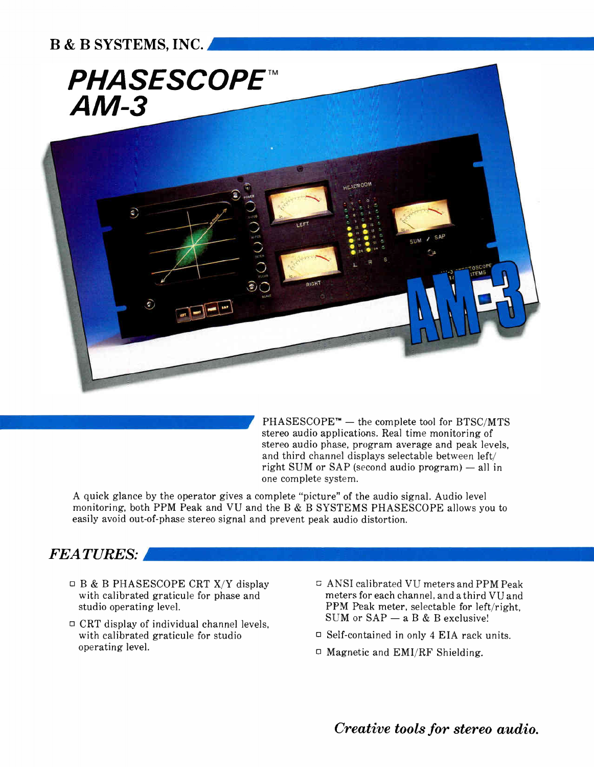

 $PHASESCOPE<sup>TM</sup>$  — the complete tool for BTSC/MTS stereo audio applications. Real time monitoring of stereo audio phase, program average and peak levels, and third channel displays selectable between left/ right SUM or SAP (second audio program) — all in one complete system.

A quick glance by the operator gives a complete "picture" of the audio signal. Audio level monitoring, both PPM Peak and VU and the B & B SYSTEMS PHASESCOPE allows you to easily avoid out-of-phase stereo signal and prevent peak audio distortion.

### FEATURES:

- $\Box$  B & B PHASESCOPE CRT X/Y display with calibrated graticule for phase and studio operating level.
- $\Box$  CRT display of individual channel levels, with calibrated graticule for studio operating level.
- $\overline{\phantom{a}}$  ANSI calibrated VU meters and PPM Peak meters for each channel, and a third VU and PPM Peak meter, selectable for left/right, SUM or  $SAP - a B \& B$  exclusive!
- $\Box$  Self-contained in only 4 EIA rack units.
- $\Box$  Magnetic and EMI/RF Shielding.

Creative tools for stereo audio.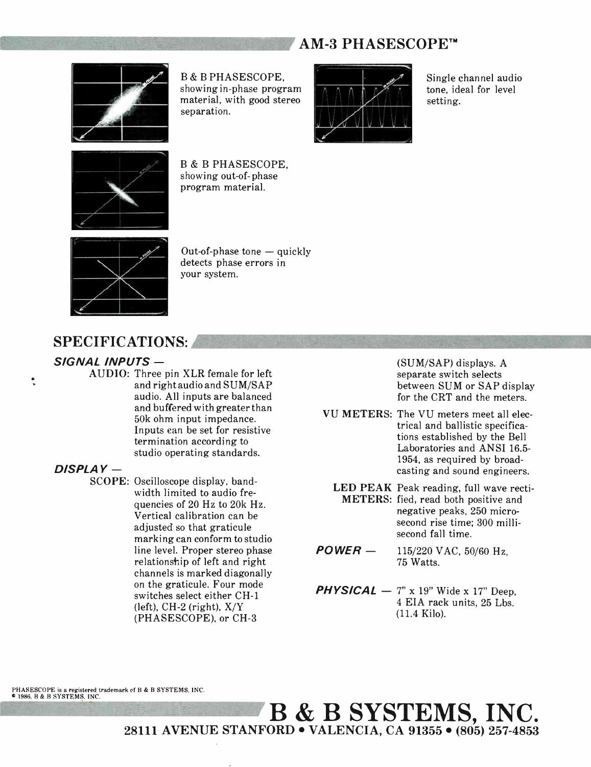### AM-3 PHASESCOPE™



B & B PHASESCOPE, showing in-phase program material, with good stereo separation.



Single channel audio tone, ideal for level setting.



B & B PHASESCOPE, showing out-of- phase program material.



Out-of-phase tone — quickly detects phase errors in your system.

### SPECIFICATIONS:

#### SIGNAL INPUTS —

AUDIO: Three pin XLR female for left and right audio and SUM/SAP audio. All inputs are balanced and buffered with greater than 50k ohm input impedance. Inputs can be set for resistive termination according to studio operating standards.

#### DISPLAY —

t

SCOPE: Oscilloscope display, bandwidth limited to audio frequencies of 20 Hz to 20k Hz. Vertical calibration can be adjusted so that graticule marking can conform to studio line level. Proper stereo phase relationship of left and right channels is marked diagonally on the graticule. Four mode switches select either CH-1  $(left)$ , CH-2 (right),  $X/Y$ (PHASESCOPE), or CH-3

(SUM/SAP) displays. A separate switch selects between SUM or SAP display for the CRT and the meters.

- VU METERS: The VU meters meet all electrical and ballistic specifications established by the Bell Laboratories and ANSI 16.5- 1954, as required by broadcasting and sound engineers.
	- LED PEAK Peak reading, full wave recti-METERS: fied, read both positive and negative peaks, 250 microsecond rise time; 300 millisecond fall time.
- POWER 115/220 VAC, 50/60 Hz, 75 Watts.
- **PHYSICAL**  $-7$ " x 19" Wide x 17" Deep, 4 EIA rack units, 25 Lbs. (11.4 Kilo).

PHASESCOPE is a registered trademark of B & B SYSTEMS, INC.<br>© 1986, B & B SYSTEMS, INC.

111111111111111111ffl B & B SYSTEMS, INC • 28111 AVENUE STANFORD • VALENCIA, CA 91355 • (805) 257-4853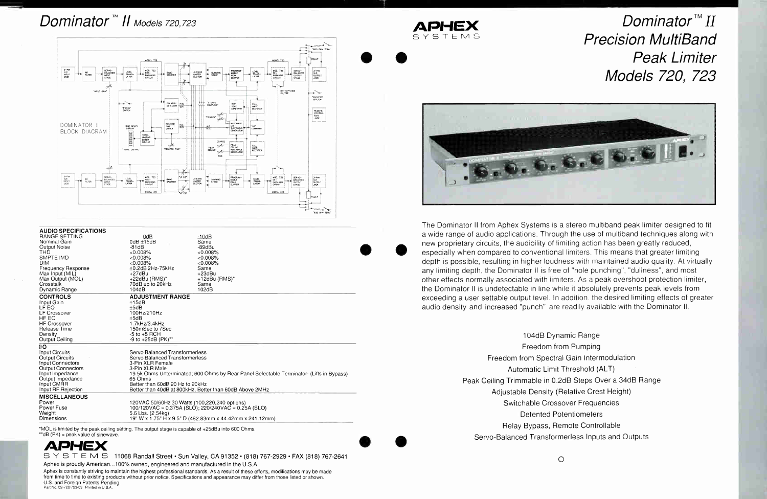## Dominator<sup>™</sup> II Models 720.723



| AUDIU ƏPEVIFIYA HUNƏ                |                                               |                                                                                          |  |
|-------------------------------------|-----------------------------------------------|------------------------------------------------------------------------------------------|--|
| RANGE SETTING<br>Nominal Gain       | 0dB<br>$0dB \pm 15dB$                         | $-10dB$<br>Same                                                                          |  |
|                                     | $-81dB$                                       | -89dBu                                                                                   |  |
| Output Noise<br>THD                 | $<0.008\%$                                    | < 0.008%                                                                                 |  |
| <b>SMPTE IMD</b>                    | $<0.008\%$                                    |                                                                                          |  |
| <b>DIM</b>                          | < 0.008%                                      | $<0.008\%$<br>< 0.008%                                                                   |  |
|                                     | $±0.2dB$ 2Hz-75kHz                            | Same                                                                                     |  |
| <b>Frequency Response</b>           | $+27dBu$                                      | $+23dBu$                                                                                 |  |
| Max Input (MIL)<br>Max Output (MOL) | $+22$ dBu (RMS)*                              | $+12$ dBu (RMS)*                                                                         |  |
| Crosstalk                           | 70dB up to 20kHz                              | Same                                                                                     |  |
| Dynamic Range                       | 104dB                                         | 102dB                                                                                    |  |
|                                     |                                               |                                                                                          |  |
| <b>CONTROLS</b>                     | <b>ADJUSTMENT RANGE</b>                       |                                                                                          |  |
| Input Gain                          | ±15dB                                         |                                                                                          |  |
| LF EQ                               | ±5dB                                          |                                                                                          |  |
| <b>LF Crossover</b>                 | 100Hz/210Hz                                   |                                                                                          |  |
| HF EQ                               | ±5dB                                          |                                                                                          |  |
| <b>HF Crossover</b>                 | 1.7kHz/3.4kHz                                 |                                                                                          |  |
| Release Time                        | 150mSec to 7Sec                               |                                                                                          |  |
| Density                             | $-5$ to $+5$ RCH                              |                                                                                          |  |
| Output Ceiling                      | $-9$ to $+25dB$ (PK)**                        |                                                                                          |  |
| I/O                                 |                                               |                                                                                          |  |
| Input Circuits                      | Servo Balanced Transformerless                |                                                                                          |  |
| Output Circuits                     | Servo Balanced Transformerless                |                                                                                          |  |
| Input Connectors                    | 3-Pin XLR Female                              |                                                                                          |  |
| Output Connectors                   | 3-Pin XLR Male                                |                                                                                          |  |
| Input Impedance                     |                                               | 19.5k Ohms Unterminated; 600 Ohms by Rear Panel Selectable Terminator- (Lifts in Bypass) |  |
| Output Impedance                    | 65 Ohms                                       |                                                                                          |  |
| Input CMRR                          | Better than 60dB 20 Hz to 20kHz               |                                                                                          |  |
| Input RF Rejection                  |                                               | Better than 40dB at 800kHz, Better than 60dB Above 2MHz                                  |  |
| <b>MISCELLANEOUS</b>                |                                               |                                                                                          |  |
| Power                               | 120VAC 50/60Hz 30 Watts (100,220,240 options) |                                                                                          |  |
| Power Fuse                          |                                               | $100/120$ VAC = 0.375A (SLO); 220/240VAC = 0.25A (SLO)                                   |  |
| Weight                              | 5.6 Lbs. (2.54kg)                             |                                                                                          |  |
| Dimensions                          |                                               | 19" W x 1.75" H x 9.5" D (482.83mm x 44.42mm x 241.12mm)                                 |  |
|                                     |                                               |                                                                                          |  |

\*MOL is limited by the peak ceiling setting. The output stage is capable of +25dBu into 600 Ohms. \*\*dB (PK) = peak value of sinewave.



SY STEM S 11068 Randall Street · Sun Valley, CA 91352 · (818) 767-2929 · FAX (818) 767-2641 Aphex is proudly American...100% owned, engineered and manufactured in the U.S.A.

Aphex is constantly striving to maintain the highest professional standards. As a result of these efforts, modifications may be made from time to time to existing products without prior notice. Specifications and appearance may differ from those listed or shown U.S. and Foreign Patents Pending. Part No. 02-720/723-03 Printed in U.S.A.

ADH YSTEM



The Dominator II from Aphex Systems is a stereo multiband peak limiter designed to fit a wide range of audio applications. Through the use of multiband techniques along with new proprietary circuits, the audibility of limiting action has been greatly reduced, especially when compared to conventional limiters. This means that greater limiting depth is possible, resulting in higher loudness with maintained audio quality. At virtually any limiting depth, the Dominator II is free of "hole punching", "dullness", and most other effects normally associated with limiters. As a peak overshoot protection limiter, the Dominator II is undetectable in line while it absolutely prevents peak levels from exceeding a user settable output level. In addition, the desired limiting effects of greater audio density and increased "punch" are readily available with the Dominator II.

> 104dB Dynamic Range Freedom from Pumping Freedom from Spectral Gain Intermodulation Automatic Limit Threshold (ALT) Adjustable Density (Relative Crest Height) Switchable Crossover Frequencies **Detented Potentiometers** Relay Bypass, Remote Controllable Servo-Balanced Transformerless Inputs and Outputs

> > $\circ$

## Dominator<sup>™</sup> II **Precision MultiBand Peak Limiter** Models 720, 723

- 
- 
- Peak Ceiling Trimmable in 0.2dB Steps Over a 34dB Range
	-
	-
	-
	-
	-